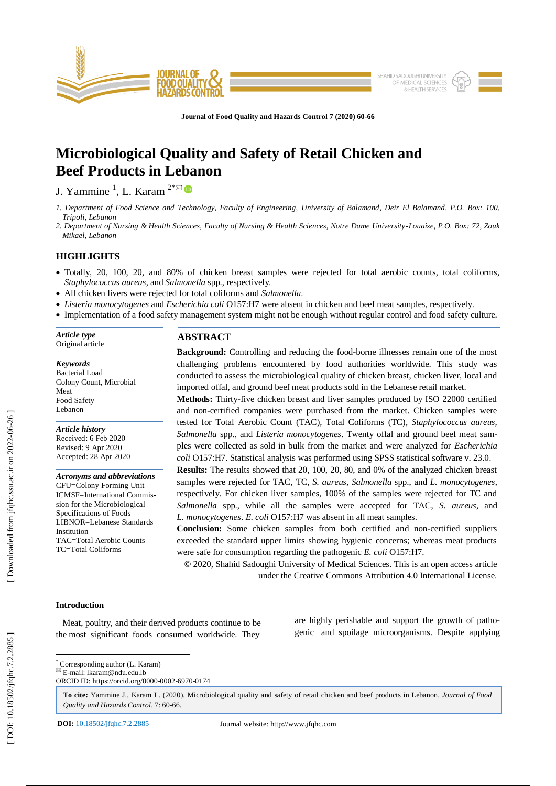

**Journal of Food Quality and Hazards Control 7 (2020) 60 -66**

# **Microbiological Quality and Safety of Retail Chicken and Beef Products in Lebanon**

J. Yammine<sup>1</sup>, L. Karam<sup>2\* $\boxtimes$ </sup>

*1. Department of Food Science and Technology, Faculty of Engineering, University of Balamand, Deir El Balamand, P.O. Box: 100, Tripoli, Lebanon*

*2. Department of Nursing & Health Sciences, Faculty of Nursing & Health Sciences, Notre Dame University -Louaize, P.O. Box: 72, Zouk Mikael, Lebanon*

# **HIGHLIGHTS**

- Totally, 20, 100, 20, and 80% of chicken breast samples were rejected for total aerobic counts, total coliforms, Staphylococcus aureus, and *Salmonella* spp., respectively.
- All chicken livers were rejected for total coliforms and *Salmonella* .
- *Listeria monocytogenes* and *Escherichia coli* O157:H7 were absent in chicken and beef meat samples, respectively.
- Implementation of a food safety management system might not be enough without regular control and food safety culture.

*Article type* Original article

*Keywords* Bacterial Load Colony Count, Microbial Meat Food Safety Lebanon

*Article history* Received: 6 Feb 2020 Revised: 9 Apr 2020 Accepted: 28 Apr 2020

*Acronyms and abbreviations* CFU=Colony Forming Unit ICMSF=International Commission for the Microbiological Specifications of Foods LIBNOR=Lebanese Standards Institution TAC=Total Aerobic Counts TC=Total Coliforms

# **ABSTRACT**

**Background:** Controlling and reducing the food -borne illnesses remain one of the most challenging problems encountered by food authorities worldwide. This study was conducted to assess the microbiological quality of chicken breast, chicken liver, local and imported offal, and ground beef meat products sold in the Lebanese retail market.

**Methods:** Thirty -five chicken breast and liver samples produced by ISO 22000 certified and non -certified companies were purchased from the market. Chicken samples were tested for Total Aerobic Count (TAC)*,* Total Coliforms (TC)*, Staphylococcus aureus, Salmonella* spp., and *Listeria monocytogenes* . Twenty offal and ground beef meat samples were collected as sold in bulk from the market and were analyzed for *Escherichia coli* O157:H7. Statistical analysis was performed using SPSS statistical software v. 23.0 .

**Results:** The results showed that 20, 100, 20, 80, and 0% of the analyzed chicken breast samples were rejected for TAC*,* TC, *S. aureus, Salmonella* spp., and *L. monocytogenes*, respectively. For chicken liver samples, 100% of the samples were rejected for TC and *Salmonella* spp., while all the samples were accepted for TAC, *S. aureus*, and *L. monocytogenes*. *E. coli* O157:H7 was absent in all meat samples.

**Conclusion:** Some chicken samples from both certified and non -certified suppliers exceeded the standard upper limits showing hygienic concerns; whereas meat products were safe for consumption regarding the pathogenic *E. coli* O157:H7.

© 2020, Shahid Sadoughi University of Medical Sciences. This is an open access article under the Creative Commons Attribution 4.0 International License.

### **Introduction**

 Meat, poultry, and their derived products continue to be the most significant foods consumed worldwide. They

are highly perishable and support the growth of pathogenic and spoilage microorganisms. Despite applying

 \* Corresponding author (L. Karam)  $E$ -mail: lkaram@ndu.edu.lb

**To cite:** Yammine J., Karam L. (2020). Microbiological quality and safety of retail chicken and beef products in Lebanon. *Journal of Food Quality and Hazards Control*. 7: 60 -66 .

ORCID ID: https://orcid.org/0000 -0002 -6970 -0174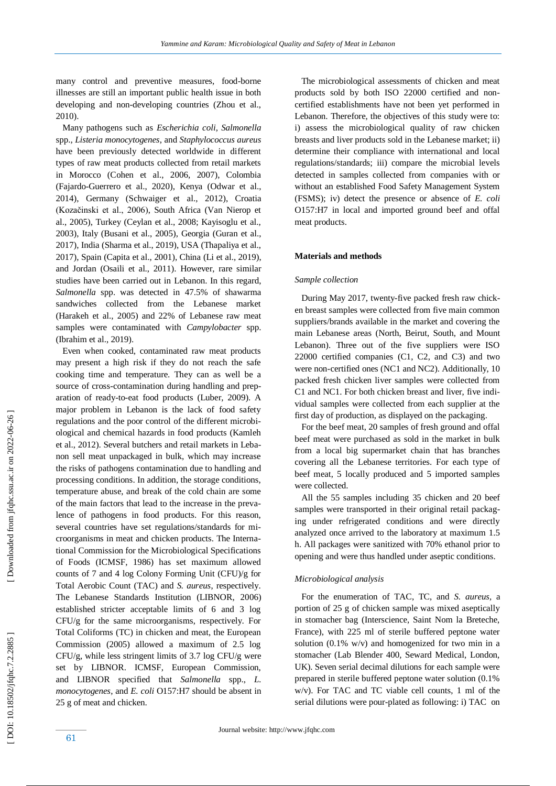many control and preventive measures, food -borne illnesses are still an important public health issue in both developing and non -developing countries (Zhou et al., 2010).

 Many pathogens such as *Escherichia coli, Salmonella*  spp.*, Listeria monocytogenes* , and *Staphylococcus aureus* have been previously detected worldwide in different types of raw meat products collected from retail markets in Morocco (Cohen et al., 2006, 2007) , Colombia (Fajardo -Guerrero et al., 2020), Kenya (Odwar et al., 2014), Germany (Schwaiger et al., 2012), Croatia (Kozačinski et al., 2006), South Africa (Van Nierop et al., 2005), Turkey (Ceylan et al., 2008; Kayisoglu et al., 2003), Italy (Busani et al., 2005), Georgia (Guran et al., 2017), India (Sharma et al., 2019), USA (Thapaliya et al., 2017), Spain (Capita et al., 2001), China (Li et al., 2019) , and Jordan (Osaili et al., 2011). However, rare similar studies have been carried out in Lebanon. In this regard, *Salmonella* spp. was detected in 47.5% of shawarma sandwiches collected from the Lebanese market (Harakeh et al., 2005) and 22% of Lebanese raw meat samples were contaminated with *Campylobacter* spp. (Ibrahim et al., 2019).

 Even when cooked, contaminated raw meat products may present a high risk if they do not reach the safe cooking time and temperature. They can as well be a source of cross-contamination during handling and preparation of ready-to-eat food products (Luber, 2009). A major problem in Lebanon is the lack of food safety reg ulations and the poor control of the different microbiological and chemical hazards in food products (Kamleh et al., 2012). Several butchers and retail markets in Lebanon sell meat unpackaged in bulk, which may increase the risks of pathogens contamination due to handling and processing conditions. In addition, the storage conditions, temperature abuse, and break of the cold chain are some of the main factors that lead to the increase in the prevalence of pathogens in food products. For this reason, several countries have set regulations/standards for microorganisms in meat and chicken products. The International Commission for the Microbiological Specifications of Foods (ICMSF, 1986) has set maximum allowed counts of 7 and 4 log Colony Forming Unit (CFU)/g for Total Aerobic Count (TAC) and *S. aureus*, respectively. The Lebanese Standards Institution (LIBNOR, 2006) established stricter acceptable limits of 6 and 3 log CFU/g for the same microorganisms, respectively. For Total Coliforms (TC) in chicken and meat, the European Commission (2005) allowed a maximum of 2.5 log CFU/g, while less stringent limits of 3.7 log CFU/g were set by LIBNOR. ICMSF, European Commission, and LIBNOR specified that *Salmonella* spp., *L. monocytogenes*, and *E. coli* O157:H7 should be absent in 25 g of meat and chicken.

 The microbiological assessments of chicken and meat products sold by both ISO 22000 certified and non certified establishments have not been yet performed in Lebanon. Therefore, the objectives of this study were to: i) assess the microbiological quality of raw chicken breasts and liver products sold in the Lebanese market; ii) determine their compliance with international and local regulations/standards; iii) compare the microbial levels detected in samples collected from companies with or without an established Food Safety Management System (FSMS); iv) detect the presence or absence of *E. coli*  O157:H7 in local and imported ground beef and offal meat products.

#### **Materials and methods**

#### *Sample collection*

 During May 2017, twenty -five packed fresh raw chicken breast samples were collected from five main common suppliers/brands available in the market and covering the main Lebanese areas (North, Beirut, South, and Mount Lebanon). Three out of the five suppliers were ISO 22000 certified companies (C1, C2, and C3) and two were non -certified ones (NC1 and NC2). Additionally, 10 packed fresh chicken liver samples were collected from C1 and NC1. For both chicken breast and liver, five individual samples were collected from each supplier at the first day of production, as displayed on the packaging.

 For the beef meat, 20 samples of fresh ground and offal beef meat were purchased as sold in the market in bulk from a local big supermarket chain that has branches covering all the Lebanese territories. For each type of beef meat, 5 locally produced and 5 imported samples were collected.

 All the 55 samples including 35 chicken and 20 beef samples were transported in their original retail packaging under refrigerated conditions and were directly analyzed once arrived to the laboratory at maximum 1.5 h. All packages were sanitized with 70% ethanol prior to opening and were thus handled under aseptic conditions.

## *Microbiological analysis*

 For the enumeration of TAC, TC, and *S. aureus,* a portion of 25 g of chicken sample was mixed aseptically in stomacher bag (Interscience, Saint Nom la Breteche, France), with 225 ml of sterile buffered peptone water solution  $(0.1\% \text{ w/v})$  and homogenized for two min in a stomacher (Lab Blender 400, Seward Medical, London, UK). Seven serial decimal dilutions for each sample were prepared in sterile buffered peptone water solution (0.1% w/v). For TAC and TC viable cell counts, 1 ml of the serial dilutions were pour -plated as following: i) TAC on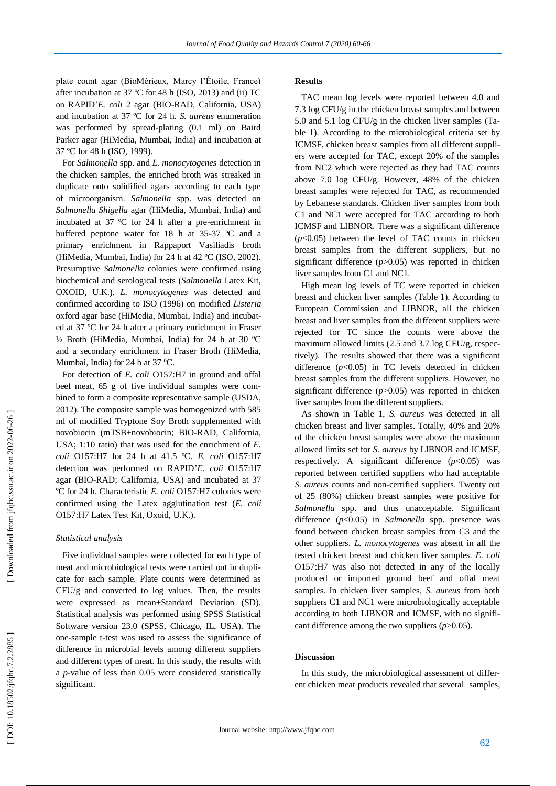plate count agar (BioMérieux, Marcy l'Étoile, France) after incubation at 37 ºC for 48 h (ISO, 2013) and (ii) TC on RAPID'*E. coli* 2 agar (BIO -RAD, California, USA) and incubation at 37 ºC for 24 h. *S. aureus* enumeration was performed by spread -plating (0.1 ml) on Baird Parker agar (HiMedia, Mumbai, India) and incubation at 37 ºC for 48 h (ISO, 1999).

 For *Salmonella* spp. and *L. monocytogenes* detection in the chicken samples, the enriched broth was streaked in duplicate onto solidified agars according to each type of microorganism. *Salmonella* spp. was detected on *Salmonella Shigella* agar (HiMedia, Mumbai, India) and incubated at 37 ºC for 24 h after a pre -enrichment in buffered peptone water for 18 h at 35-37 °C and a primary enrichment in Rappaport Vasiliadis broth (HiMedia, Mumbai, India) for 24 h at 42 ºC (ISO, 2002). Presumptive *Salmonella* colonies were confirmed using biochemical and serological tests (*Salmonella* Latex Kit, OXOID, U.K.). *L. monocytogenes* was detected and confirmed according to ISO (1996) on modified *Listeria* oxford agar base (HiMedia, Mumbai, India) and incubated at 37 ºC for 24 h after a primary enrichment in Fraser ½ Broth (HiMedia, Mumbai, India) for 24 h at 30 ºC and a secondary enrichment in Fraser Broth (HiMedia, Mumbai, India) for 24 h at 37 ºC.

 For detection of *E. coli* O157:H7 in ground and offal beef meat, 65 g of five individual samples were c ombined to form a composite representative sample (USDA, 2012). The composite sample was homogenized with 585 ml of modified Tryptone Soy Broth supplemented with novobiocin (mTSB+novobiocin; BIO -RAD, California, USA; 1:10 ratio) that was used for the enrichment of *E. coli* O157:H7 for 24 h at 41.5 ºC. *E. coli* O157:H7 detection was performed on RAPID '*E. coli* O157:H7 agar (BIO -RAD; California, USA) and incubated at 37 ºC for 24 h. Characteristic *E. coli* O157:H7 colonies were confirmed using the Latex agglutination test (*E. coli* O157:H7 Latex Test Kit, Oxoid, U.K.).

#### *Statistical analysis*

 Five individual samples were collected for each type of meat and microbiological tests were carried out in duplicate for each sample. Plate counts were determined as CFU/g and converted to log values. Then, the results were expressed as mean±Standard Deviation (SD). Statistical analysis was performed using SPSS Statistical Software version 23.0 (SPSS, Chicago, IL, USA). The one -sample t -test was used to assess the significance of difference in microbial levels among different suppliers and different types of meat. In this study, the results with a *p* -value of less than 0.05 were considered statistically significant.

## **Results**

 TAC mean log levels were reported between 4.0 and 7.3 log CFU/g in the chicken breast samples and between 5.0 and 5.1 log CFU/g in the chicken liver samples (Table 1). According to the microbiological criteria set by ICMSF, chicken breast samples from all different suppliers were accepted for TAC, except 20% of the samples from NC2 which were rejected as they had TAC counts above 7.0 log CFU/g. However, 48% of the chicken breast samples were rejected for TAC, as recommended by Lebanese standards. Chicken liver samples from both C1 and NC1 were accepted for TAC according to both ICMSF and LIBNOR. There was a significant difference  $(p<0.05)$  between the level of TAC counts in chicken breast samples from the different suppliers, but no significant difference (*p*>0.05) was reported in chicken liver samples from C1 and NC1.

 High mean log levels of TC were reported in chicken breast and chicken liver samples (Table 1). According to European Commission and LIBNOR, all the chicken breast and liver samples from the different suppliers were rejected for TC since the counts were above the maximum allowed limits (2.5 and 3.7 log CFU/g, respectively). The results showed that there was a significant difference  $(p<0.05)$  in TC levels detected in chicken breast samples from the different suppliers. However, no significant difference (*p*>0.05) was reported in chicken liver samples from the different suppliers.

As shown in Table 1, *S. aureus* was detected in all chicken breast and liver samples. Totally, 40% and 20% of the chicken breast samples were above the maximum allowed limits set for *S. aureus* by LIBNOR and ICMSF, respectively. A significant difference  $(p<0.05)$  was reported between certified suppliers who had acceptable *S. aureus* counts and non -certified suppliers. Twenty out of 25 (80%) chicken breast samples were positive for *Salmonella* spp. and thus unacceptable. Significant difference (*p*<0.05) in *Salmonella* spp. presence was found between chicken breast samples from C3 and the other suppliers. *L. monocytogenes* was absent in all the tested chicken breast and chicken liver samples. *E. coli*  O157:H7 was also not detected in any of the locally produced or imported ground beef and offal meat samples. In chicken liver samples, *S. aureus* from both suppliers C1 and NC1 were microbiologically acceptable according to both LIBNOR and ICMSF, with no significant difference among the two suppliers (*p*>0.05).

## **Discussion**

In this study, the microbiological assessment of different chicken meat products revealed that several samples,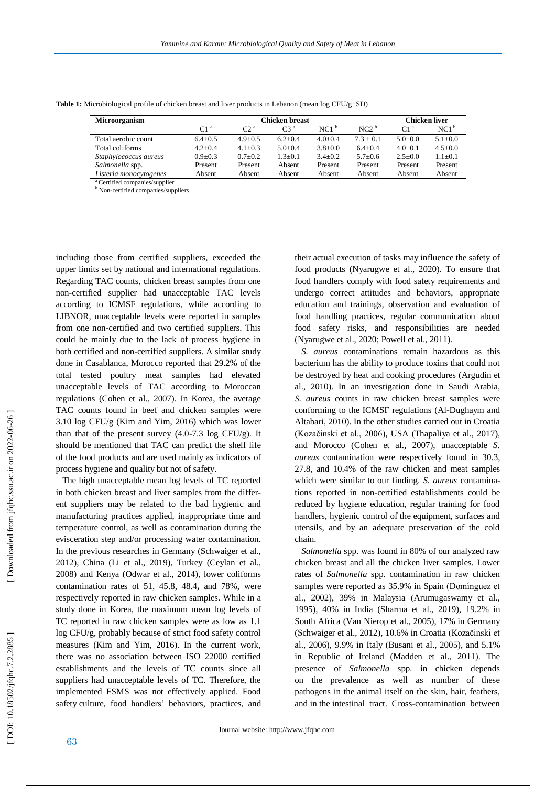| <b>Microorganism</b>   | Chicken breast  |                       |             |                  |                  | Chicken liver   |                  |
|------------------------|-----------------|-----------------------|-------------|------------------|------------------|-----------------|------------------|
|                        | C1 <sup>a</sup> | $\Gamma$ <sup>2</sup> | $C3^a$      | NC1 <sup>b</sup> | NC2 <sup>b</sup> | C1 <sup>a</sup> | NC1 <sup>b</sup> |
| Total aerobic count    | $6.4 + 0.5$     | $4.9 + 0.5$           | $6.2 + 0.4$ | $4.0+0.4$        | $7.3 + 0.1$      | $5.0+0.0$       | $5.1 \pm 0.0$    |
| Total coliforms        | $4.2 + 0.4$     | $4.1 + 0.3$           | $5.0+0.4$   | $3.8 + 0.0$      | $6.4 + 0.4$      | $4.0+0.1$       | $4.5 \pm 0.0$    |
| Staphylococcus aureus  | $0.9 + 0.3$     | $0.7+0.2$             | $1.3+0.1$   | $3.4 + 0.2$      | $5.7+0.6$        | $2.5 \pm 0.0$   | $1.1 \pm 0.1$    |
| Salmonella spp.        | Present         | Present               | Absent      | Present          | Present          | Present         | Present          |
| Listeria monocytogenes | Absent          | Absent                | Absent      | Absent           | Absent           | Absent          | Absent           |

**Table 1:** Microbiological profile of chicken breast and liver products in Lebanon (mean log CFU/g±SD)

<sup>a</sup> Certified companies/supplier

**b** Non-certified companies/suppliers

including those from certified suppliers, exceeded the upper limits set by national and international regulations. Regarding TAC counts, chicken breast samples from one non -certified supplier had unacceptable TAC levels according to ICMSF regulations, while according to LIBNOR, unacceptable levels were reported in samples from one non -certified and two certified suppliers. This could be mainly due to the lack of process hygiene in both certified and non -certified suppliers. A similar study done in Casablanca, Morocco reported that 29.2% of the total tested poultry meat samples had elevated unacceptable levels of TAC according to Moroccan regulations (Cohen et al., 2007). In Korea, the average TAC counts found in beef and chicken samples were 3.10 log CFU/g (Kim and Yim, 2016) which was lower than that of the present survey (4.0 -7.3 log CFU/g). It should be mentioned that TAC can predict the shelf life of the food products and are used mainly as indicators of process hygiene and quality but not of safety.

 The high unacceptable mean log levels of TC reported in both chicken breast and liver samples from the different suppliers may be related to the bad hygienic and manufacturing practices applied, inappropriate time and temperature control, as well as contamination during the evisceration step and/or processing water contamination. In the previous researches in Germany (Schwaiger et al., 2012), China (Li et al., 2019), Turkey (Ceylan et al., 2008 ) and Kenya (Odwar et al., 2014), lower coliforms contamination rates of 51, 45.8, 48.4 **,** and 78%, were respectively reported in raw chicken samples. While in a study done in Korea, the maximum mean log levels of TC reported in raw chicken samples were as low as 1.1 log CFU/g, probably because of strict food safety control measures (Kim and Yim, 2016). In the current work, there was no association between ISO 22000 certified establishments and the levels of TC counts since all suppliers had unacceptable levels of TC. Therefore, the implemented FSMS was not effectively applied. Food safety culture, food handlers' behaviors, practices , and

their actual execution of tasks may influence the safety of food products (Nyarugwe et al., 2020). To ensure that food handlers comply with food safety requirements and undergo correct attitudes and behaviors, appropriate education and trainings, observation and evaluation of food handling practices, regular communication about food safety risks , and responsibilities are needed (Nyarugwe et al., 2020; Powell et al., 2011).

 *S. aureus* contaminations remain hazardous as this bacterium ha s the ability to produce toxins that could not be destroyed by heat and cooking procedures (Argudín et al., 2010) . In an investigation done in Saudi Arabia, *S. aureus* counts in raw chicken breast samples were conforming to the ICMSF regulations (Al -Dughaym and Altabari, 2010). In the other studies carried out in Croatia (Kozačinski et al., 2006), USA (Thapaliya et al., 2017), and Morocco (Cohen et al., 2007), unacceptable *S. aureus* contamination were respectively found in 30.3, 27.8 , and 10.4% of the raw chicken and meat samples which were similar to our finding. *S. aureus* contaminations reported in non-certified establishments could be reduced by hygiene education, regular training for food handlers, hygienic control of the equipment, surfaces and utensils, and by an adequate preservation of the cold chain.

 *Salmonella* spp. was found in 80% of our analyzed raw chicken breast and all the chicken liver samples. Lower rates of *Salmonella* spp. contamination in raw chicken samples were reported as 35.9% in Spain (Domínguez et al., 2002) , 39% in Malaysia (Arumugaswamy et al., 1995), 40% in India (Sharma et al., 2019) , 19.2% in South Africa (Van Nierop et al., 2005), 17% in Germany (Schwaiger et al., 2012), 10.6% in Croatia (Kozačinski et al., 2006), 9.9% in Italy (Busani et al., 2005), and 5.1% in Republic of Ireland (Madden et al., 2011). The presence of *Salmonella* spp. in chicken depends on the prevalence as well as number of these pathogens in the animal itself on the skin, hair, feathers, and in the intestinal tract. Cross -contamination between

DOI: 10.18502/jfqhc.7.2.2885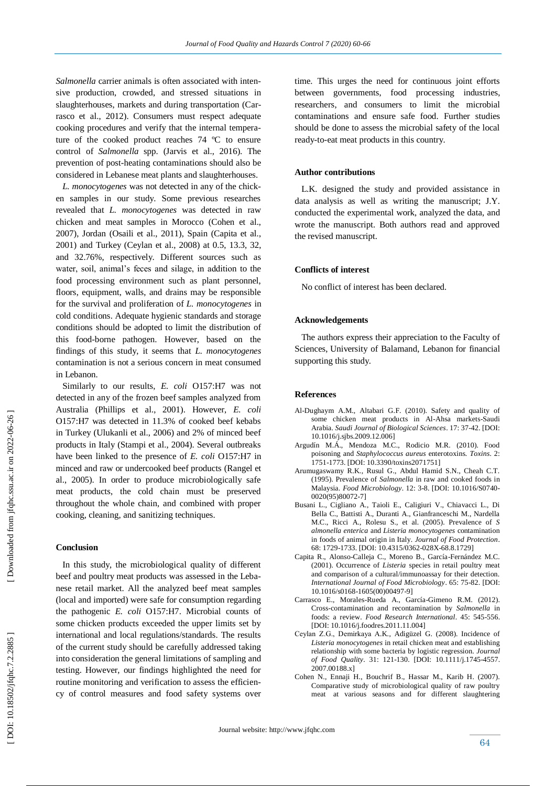*Salmonella* carrier animals is often associated with intensive production, crowded, and stressed situations in slaughterhouses, markets and during transportation (Carrasco et al., 2012). Consumers must respect adequate cooking procedures and verify that the internal temperature of the cooked product reaches 74 ºC to ensure control of *Salmonella* spp. (Jarvis et al., 2016)*.* The prevention of post -heating contaminations should also be considered in Lebanese meat plants and slaughterhouses.

 *L. monocytogenes* was not detected in any of the chicken samples in our study. Some previous researches revealed that *L. monocytogenes* was detected in raw chicken and meat samples in Morocco (Cohen et al., 2007), Jordan (Osaili et al., 2011) , Spain (Capita et al., 2001) and Turkey (Ceylan et al., 2008) at 0.5, 13.3, 32, and 32.76%, respectively. Different sources such as water, soil, animal's feces and silage, in addition to the food processing environment such as plant personnel, floors, equipment, walls, and drains may be responsible for the survival and proliferation of *L. monocytogenes* in cold conditions. Adequate hygienic standards and storage conditions should be adopted to limit the distribution of this food -borne pathogen. However, based on the findings of this study , it seems that *L. monocytogenes*  contamination is not a serious concern in meat consumed in Lebanon.

 Similarly to our results, *E. coli* O157:H7 was not detected in any of the frozen beef samples analyzed from Australia (Phillips et al., 2001) . However, *E. coli*  O157:H7 was detected in 11.3% of cooked beef kebabs in Turkey (Ulukanli et al., 2006) and 2% of minced beef products in Italy (Stampi et al., 2004). Several outbreaks have been linked to the presence of *E. coli* O157:H7 in minced and raw or undercooked beef products (Rangel et al., 2005). In order to produce microbiologically safe meat products, the cold chain must be preserved throughout the whole chain, and combined with proper cooking, cleaning , and sanitizing techniques.

# **Conclusion**

 In this study, the microbiological quality of different beef and poultry meat products was assessed in the Lebanese retail market. All the analyzed beef meat samples (local and imported) were safe for consumption regarding the pathogenic *E. coli* O157:H7. Microbial counts of some chicken products exceeded the upper limits set by international and local regulations/standards. The results of the current study should be carefully addressed taking into consideration the general limitations of sampling and testing. However, our findings highlighted the need for routine monitoring and verification to assess the efficiency of control measures and food safety systems over time. This urges the need for continuous joint efforts between governments, food processing industries, researchers, and consumers to limit the microbial contaminations and ensure safe food. Further studies should be done to assess the microbial safety of the local ready -to -eat meat products in this country.

#### **Author contributions**

 L.K. designed the study and provided assistance in data analysis as well as writing the manuscript; J.Y. conducted the experimental work, analyzed the data, and wrote the manuscript. Both authors read and approved the revised manuscript.

#### **Conflicts of interest**

No conflict of interest has been declared.

## **Acknowledgements**

The authors express their appreciation to the Faculty of Sciences, University of Balamand, Lebanon for financial supporting this study.

#### **Reference s**

- Al -Dughaym A.M., Altabari G.F. (2010). Safety and quality of some chicken meat products in Al -Ahsa markets -Saudi Arabia. *Saudi Journal of Biological Sciences*. 17: 37 -42. [DOI: 10.1016/j.sjbs.2009.12.006]
- Argudín M.Á., Mendoza M.C., Rodicio M.R. (2010). Food poisoning and *Staphylococcus aureus* enterotoxins. *Toxins*. 2: 1751 -1773. [DOI: 10.3390/toxins2071751]
- Arumugaswamy R.K., Rusul G., Abdul Hamid S.N., Cheah C.T. (1995). Prevalence of *Salmonella* in raw and cooked foods in Malaysia. *Food Microbiology* . 12: 3 -8. [DOI: 10.1016/S0740 - 0020(95)80072 -7]
- Busani L., Cigliano A., Taioli E., Caligiuri V., Chiavacci L., Di Bella C., Battisti A., Duranti A., Gianfranceschi M., Nardella M.C., Ricci A., Rolesu S., et al. (2005). Prevalence of *S almonella enterica* and *Listeria monocytogenes* contamination in foods of animal origin in Italy. *Journal of Food Protection*. 68: 1729 -1733. [DOI: 10.4315/0362 -028X -68.8.1729]
- Capita R., Alonso -Calleja C., Moreno B., García -Fernández M.C. (2001). Occurrence of *Listeria* species in retail poultry meat and comparison of a cultural/immunoassay for their detection. *International Journal of Food Microbiology* . 65: 75 -82. [DOI: 10.1016/s0168 -1605(00)00497 -9]
- Carrasco E., Morales -Rueda A., García -Gimeno R.M. (2012). Cross -contamination and recontamination by *Salmonella* in foods: a review. *Food Research International*. 45: 545 -556. [DOI: 10.1016/j.foodres.2011.11.004]
- Ceylan Z.G., Demirkaya A.K., Adigüzel G. (2008). Incidence of *Listeria monocytogenes* in retail chicken meat and establishing relationship with some bacteria by logistic regression. *Journal of Food Quality*. 31: 121 -130. [DOI: [10.1111/j.1745](https://doi.org/10.1111/j.1745-4557.2007.00188.x) -4557. [2007.00188.x](https://doi.org/10.1111/j.1745-4557.2007.00188.x) ]
- Cohen N., Ennaji H., Bouchrif B., Hassar M., Karib H. (2007). Comparative study of microbiological quality of raw poultry meat at various seasons and for different slaughtering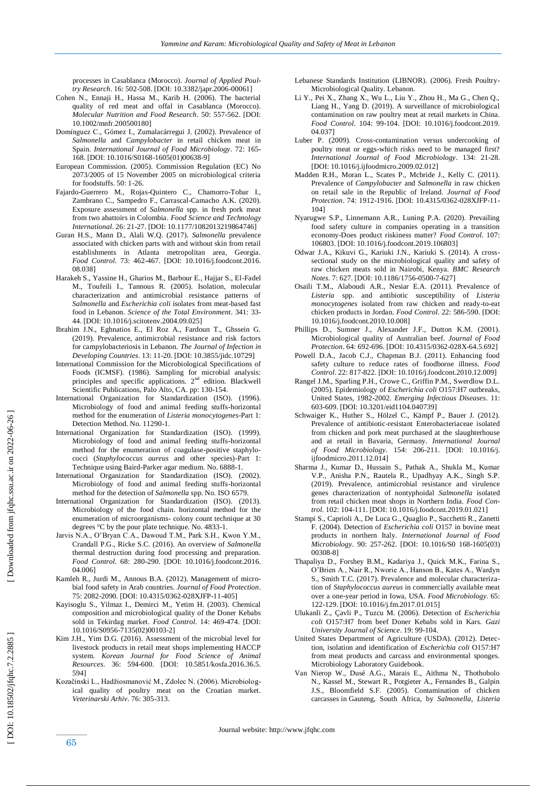processes in Casablanca (Morocco). *Journal of Applied Poultry Research*. 16: 502-508. [DOI: 10.3382/japr.2006-00061]

- Cohen N., Ennaji H., Hassa M., Karib H. (2006). The bacterial quality of red meat and offal in Casablanca (Morocco). *Molecular Nutrition and Food Research*. 50: 557 -562. [DOI: 10.1002/mnfr.200500180]
- Domínguez C., Gómez I., Zumalacárregui J. (2002). Prevalence of *Salmonella* and *Campylobacter* in retail chicken meat in Spain. *International Journal of Food Microbiology*. 72: 165 - 168. [DOI: 10.1016/S0168 -1605(01)00638 -9]
- European Commission. (2005). Commission Regulation (EC) No 2073/2005 of 15 November 2005 on microbiological criteria for foodstuffs. 50: 1 -26.
- Fajardo-Guerrero M., Rojas-Quintero C., Chamorro-Tobar I., Zambrano C., Sampedro F., Carrascal -Camacho A.K. (2020). Exposure assessment of *Salmonella* spp. in fresh pork meat from two abattoirs in Colombia. *Food Science and Technology International*. 26: 21 -27. [DOI: 10.1177/1082013219864746]
- Guran H.S., Mann D., Alali W.Q. (2017). *Salmonella* prevalence associated with chicken parts with and without skin from retail establishments in Atlanta metropolitan area, Georgia. *Food Control*. 73: 462 -467. [DOI: 10.1016/j.foodcont.2016. 08.038]
- Harakeh S., Yassine H., Gharios M., Barbour E., Hajjar S., El -Fadel M., Toufeili I., Tannous R. (2005). Isolation, molecular characterization and antimicrobial resistance patterns of *Salmonella* and *Escherichia coli* isolates from meat -based fast food in Lebanon. *Science of the Total Environment*. 341: 33 - 44. [DOI: 10.1016/j.scitotenv.2004.09.025]
- Ibrahim J.N., Eghnatios E., El Roz A., Fardoun T., Ghssein G. (2019). Prevalence, antimicrobial resistance and risk factors for campylobacteriosis in Lebanon. *The Journal of Infection in Developing Countries*. 13: 11 -20. [DOI: 10.3855/jidc.10729]
- International Commission for the Microbiological Specifications of Foods (ICMSF). (1986). Sampling for microbial analysis: principles and specific applications. 2<sup>nd</sup> edition. Blackwell Scientific Publications, Palo Alto, CA. pp: 130 -154.
- International Organization for Standardization (ISO). (1996). Microbiology of food and animal feeding stuffs -horizontal method for the enumeration of *Listeria monocytogenes* -Part 1: Detection Method. No. 11290 -1.
- International Organization for Standardization (ISO). (1999). Microbiology of food and animal feeding stuffs -horizontal method for the enumeration of coagulase -positive staphylococci (*Staphylococcus aureus* and other species)-Part 1: Technique using Baird -Parker agar medium. No. 6888 -1.
- International Organization for Standardization (ISO). (2002). Microbiology of food and animal feeding stuffs -horizontal method for the detection of *Salmonella* spp. No. ISO 6579.
- International Organization for Standardization (ISO). (2013) Microbiology of the food chain. horizontal method for the enumeration of microorganisms - colony count technique at 30 degrees °C by the pour plate technique. No. 4833 -1.
- Jarvis N.A., O'Bryan C.A., Dawoud T.M., Park S.H., Kwon Y.M., Crandall P.G., Ricke S.C. (2016). An overview of *Salmonella* thermal destruction during food processing and preparation. *Food Control*. 68: 280 -290. [DOI: 10.1016/j.foodcont.2016. 04.006]
- Kamleh R., Jurdi M., Annous B.A. (2012). Management of microbial food safety in Arab countries. *Journal of Food Protection*. 75: 2082 -2090. [DOI: 10.4315/0362 -028XJFP -11 -405]
- Kayisoglu S., Yilmaz I., Demirci M., Yetim H. (2003). Chemical composition and microbiological quality of the Doner Kebabs sold in Tekirdag market. *Food Control*. 14: 469 -474. [DOI: 10.1016/S0956 -7135(02)00103 -2]
- Kim J.H., Yim D.G. (2016). Assessment of the microbial level for livestock products in retail meat shops implementing HACCP system. *Korean Journal for Food Science of Animal Resources*. 36: 594 -600. [DOI: 10.5851/kosfa.2016.36.5. 594]
- Kozačinski L., Hadžiosmanović M., Zdolec N. (2006). Microbiological quality of poultry meat on the Croatian market. *Veterinarski Arhiv*. 76: 305 -313.
- Lebanese Standards Institution (LIBNOR). (2006). Fresh Poultry Microbiological Quality. Lebanon.
- Li Y., Pei X., Zhang X., Wu L., Liu Y., Zhou H., Ma G., Chen Q., Liang H., Yang D. (2019). A surveillance of microbiological contamination on raw poultry meat at retail markets in China. *Food Control*. 104: 99 -104. [DOI: 10.1016/j.foodcont.2019. 04.037]
- Luber P. (2009). Cross -contamination versus undercooking of poultry meat or eggs -which risks need to be managed first? *International Journal of Food Microbiology*. 134: 21 -28. [DOI: 10.1016/j.ijfoodmicro.2009.02.012]
- Madden R.H., Moran L., Scates P., Mcbride J., Kelly C. (2011). Prevalence of *Campylobacter* and *Salmonella* in raw chicken on retail sale in the Republic of Ireland. *Journal of Food*  Protection. 74: 1912-1916. [DOI: 10.4315/0362-028XJFP-11-104]
- Nyarugwe S.P., Linnemann A.R., Luning P.A. (2020). Prevailing food safety culture in companies operating in a transition economy -Does product riskiness matter? *Food Control*. 107: 106803. [DOI: 10.1016/j.foodcont.2019.106803]
- Odwar J.A., Kikuvi G., Kariuki J.N., Kariuki S. (2014). A cross sectional study on the microbiological quality and safety of raw chicken meats sold in Nairobi, Kenya. *BMC Research Notes*. 7: 627. [DOI: 10.1186/1756 -0500 - 7 -627]
- Osaili T.M., Alaboudi A.R., Nesiar E.A. (2011). Prevalence of *Listeria* spp. and antibiotic susceptibility of *Listeria monocytogenes* isolated from raw chicken and ready -to -eat chicken products in Jordan. *Food Control*. 22: 586 -590. [DOI: 10.1016/j.foodcont.2010.10.008]
- Phillips D., Sumner J., Alexander J.F., Dutton K.M. (2001). Microbiological quality of Australian beef. *Journal of Food*  Protection. 64: 692-696. [DOI: 10.4315/0362-028X-64.5.692]
- Powell D.A., Jacob C.J., Chapman B.J. (2011). Enhancing food safety culture to reduce rates of foodborne illness. *Food Control*. 22: 817 -822. [DOI: 10.1016/j.foodcont.2010.12.009]
- Rangel J.M., Sparling P.H., Crowe C., Griffin P.M., Swerdlow D.L. (2005). Epidemiology of *Escherichia coli* O157:H7 outbreaks, United States, 1982 -2002. *Emerging Infectious Diseases*. 11: 603 -609. [DOI: 10.3201/eid1104.040739]
- Schwaiger K., Huther S., Hölzel C., Kämpf P., Bauer J. (2012). Prevalence of antibiotic-resistant Enterobacteriaceae isolated from chicken and pork meat purchased at the slaughterhouse and at retail in Bavaria, Germany. *International Journal of Food Microbiology*. 154: 206 -211. [DOI: 10.1016/j. ijfoodmicro.2011.12.014]
- Sharma J., Kumar D., Hussain S., Pathak A., Shukla M., Kumar V.P., Anisha P.N., Rautela R., Upadhyay A.K., Singh S.P. (2019). Prevalence, antimicrobial resistance and virulence genes characterization of nontyphoidal *Salmonella* isolated from retail chicken meat shops in Northern India. *Food Control*. 102: 104-111. [DOI: 10.1016/j.foodcont.2019.01.021]
- Stampi S., Caprioli A., De Luca G., Quaglio P., Sacchetti R., Zanetti F. (2004). Detection of *Escherichia coli* O157 in bovine meat products in northern Italy. *International Journal of Food Microbiology*. 90: 257 -262. [DOI: 10.1016/S0 168 -1605(03) 00308 -8]
- Thapaliya D., Forshey B.M., Kadariya J., Quick M.K., Farina S., O'Brien A., Nair R., Nworie A., Hanson B., Kates A., Wardyn S., Smith T.C. (2017). Prevalence and molecular characterization of *Staphylococcus aureus* in commercially available meat over a one -year period in Iowa, USA. *Food Microbiology*. 65: 122 -129. [DOI: 10.1016/j.fm.2017.01.015]
- Ulukanli Z., Çavli P., Tuzcu M. (2006). Detection of *Escherichia coli* O157:H7 from beef Doner Kebabs sold in Kars. *Gazi University Journal of Science*. 19: 99 -104.
- United States Department of Agriculture (USDA). (2012). Detection, isolation and identification of *Escherichia coli* O157:H7 from meat products and carcass and environmental sponges. Microbiology Laboratory Guidebook.
- Van Nierop W., Dusé A.G., Marais E., Aithma N., Thothobolo N., Kassel M., Stewart R., Potgieter A., Fernandes B., Galpin J.S., Bloomfield S.F. (2005). Contamination of chicken carcasses in Gauteng, South Africa, by *Salmonella*, *Listeria*